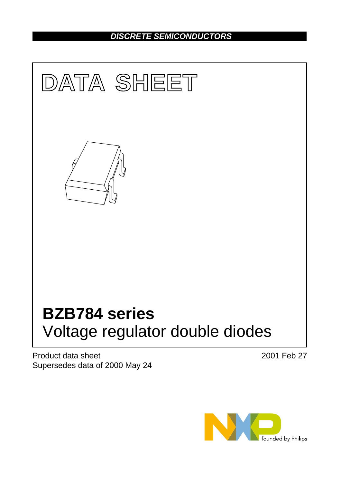# *DISCRETE SEMICONDUCTORS*



Product data sheet Supersedes data of 2000 May 24 2001 Feb 27

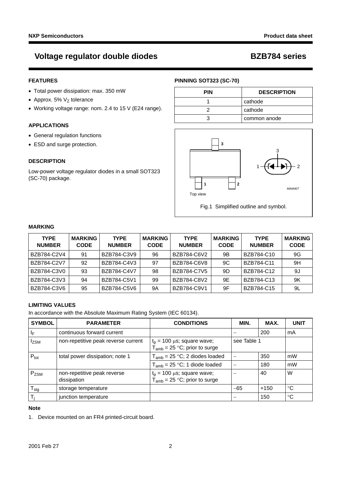# **Voltage regulator double diodes BZB784 series**

# **FEATURES**

- Total power dissipation: max. 350 mW
- Approx. 5%  $V<sub>7</sub>$  tolerance
- Working voltage range: nom. 2.4 to 15 V (E24 range).

# **APPLICATIONS**

- General regulation functions
- ESD and surge protection.

# **DESCRIPTION**

Low-power voltage regulator diodes in a small SOT323 (SC-70) package.

# **PINNING SOT323 (SC-70)**

| <b>PIN</b> | <b>DESCRIPTION</b> |
|------------|--------------------|
|            | cathode            |
|            | cathode            |
|            | common anode       |



Fig.1 Simplified outline and symbol.

# **MARKING**

| <b>TYPE</b><br><b>NUMBER</b> | <b>MARKING</b><br><b>CODE</b> | <b>TYPE</b><br><b>NUMBER</b> | <b>MARKING</b><br><b>CODE</b> | <b>TYPE</b><br><b>NUMBER</b> | <b>MARKING</b><br><b>CODE</b> | <b>TYPE</b><br><b>NUMBER</b> | <b>MARKING</b><br><b>CODE</b> |
|------------------------------|-------------------------------|------------------------------|-------------------------------|------------------------------|-------------------------------|------------------------------|-------------------------------|
| BZB784-C2V4                  | 91                            | BZB784-C3V9                  | 96                            | BZB784-C6V2                  | 9Β                            | BZB784-C10                   | 9G                            |
| BZB784-C2V7                  | 92                            | BZB784-C4V3                  | 97                            | BZB784-C6V8                  | 9C                            | BZB784-C11                   | 9H                            |
| BZB784-C3V0                  | 93                            | BZB784-C4V7                  | 98                            | BZB784-C7V5                  | 9D                            | BZB784-C12                   | 9J                            |
| BZB784-C3V3                  | 94                            | BZB784-C5V1                  | 99                            | BZB784-C8V2                  | 9E                            | BZB784-C13                   | 9K                            |
| BZB784-C3V6                  | 95                            | BZB784-C5V6                  | 9Α                            | BZB784-C9V1                  | 9F                            | BZB784-C15                   | 9L                            |

# **LIMITING VALUES**

In accordance with the Absolute Maximum Rating System (IEC 60134).

| <b>SYMBOL</b>    | <b>PARAMETER</b>                           | <b>CONDITIONS</b>                                                     | MIN.                     | MAX.   | <b>UNIT</b> |
|------------------|--------------------------------------------|-----------------------------------------------------------------------|--------------------------|--------|-------------|
| ΙF               | continuous forward current                 |                                                                       |                          | 200    | mA          |
| Izsm             | non-repetitive peak reverse current        | $t_p$ = 100 µs; square wave;<br>$T_{amb}$ = 25 °C; prior to surge     | see Table 1              |        |             |
| $P_{\text{tot}}$ | total power dissipation; note 1            | $T_{amb}$ = 25 °C; 2 diodes loaded                                    |                          | 350    | mW          |
|                  |                                            | $T_{amb}$ = 25 °C; 1 diode loaded                                     | $\overline{\phantom{0}}$ | 180    | mW          |
| P <sub>ZSM</sub> | non-repetitive peak reverse<br>dissipation | $t_p = 100 \mu s$ ; square wave;<br>$T_{amb}$ = 25 °C; prior to surge |                          | 40     | W           |
| $T_{\text{stg}}$ | storage temperature                        |                                                                       | $-65$                    | $+150$ | °C          |
| T,               | junction temperature                       |                                                                       |                          | 150    | °C          |

### **Note**

<span id="page-1-0"></span>1. Device mounted on an FR4 printed-circuit board.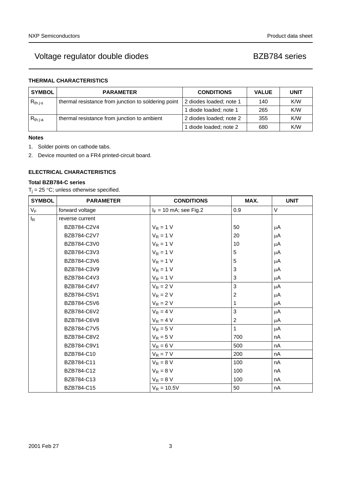# Voltage regulator double diodes and all research in the BZB784 series

# **THERMAL CHARACTERISTICS**

| <b>SYMBOL</b> | <b>PARAMETER</b>                                    | <b>CONDITIONS</b>       | <b>VALUE</b> | <b>UNIT</b> |
|---------------|-----------------------------------------------------|-------------------------|--------------|-------------|
| $R_{th}$ j-s  | thermal resistance from junction to soldering point | 2 diodes loaded; note 1 | 140          | K/W         |
|               |                                                     | 1 diode loaded; note 1  | 265          | K/W         |
| $R_{th\,j-a}$ | thermal resistance from junction to ambient         | 2 diodes loaded; note 2 | 355          | K/W         |
|               |                                                     | 1 diode loaded; note 2  | 680          | K/W         |

### **Notes**

- <span id="page-2-0"></span>1. Solder points on cathode tabs.
- <span id="page-2-1"></span>2. Device mounted on a FR4 printed-circuit board.

# **ELECTRICAL CHARACTERISTICS**

## **Total BZB784-C series**

 $T_j = 25$  °C; unless otherwise specified.

| <b>SYMBOL</b> | <b>PARAMETER</b> | <b>CONDITIONS</b>        | MAX.           | <b>UNIT</b> |
|---------------|------------------|--------------------------|----------------|-------------|
| $V_F$         | forward voltage  | $I_F = 10$ mA; see Fig.2 | 0.9            | V           |
| $I_R$         | reverse current  |                          |                |             |
|               | BZB784-C2V4      | $V_R = 1 V$              | 50             | μA          |
|               | BZB784-C2V7      | $V_R = 1 V$              | 20             | μA          |
|               | BZB784-C3V0      | $V_R = 1 V$              | 10             | μA          |
|               | BZB784-C3V3      | $V_R = 1 V$              | 5              | μA          |
|               | BZB784-C3V6      | $V_R = 1 V$              | 5              | μA          |
|               | BZB784-C3V9      | $V_R = 1 V$              | 3              | μA          |
|               | BZB784-C4V3      | $V_R = 1 V$              | 3              | μA          |
|               | BZB784-C4V7      | $V_R = 2 V$              | 3              | μA          |
|               | BZB784-C5V1      | $V_R = 2 V$              | 2              | μA          |
|               | BZB784-C5V6      | $V_R = 2 V$              | 1              | μA          |
|               | BZB784-C6V2      | $V_R = 4 V$              | 3              | μA          |
|               | BZB784-C6V8      | $V_R = 4 V$              | $\overline{c}$ | μA          |
|               | BZB784-C7V5      | $V_R = 5 V$              | 1              | μA          |
|               | BZB784-C8V2      | $V_R = 5 V$              | 700            | nA          |
|               | BZB784-C9V1      | $V_R = 6 V$              | 500            | nA          |
|               | BZB784-C10       | $V_R = 7 V$              | 200            | nA          |
|               | BZB784-C11       | $V_R = 8 V$              | 100            | nA          |
|               | BZB784-C12       | $V_R = 8 V$              | 100            | nA          |
|               | BZB784-C13       | $V_R = 8 V$              | 100            | nA          |
|               | BZB784-C15       | $V_R = 10.5V$            | 50             | nA          |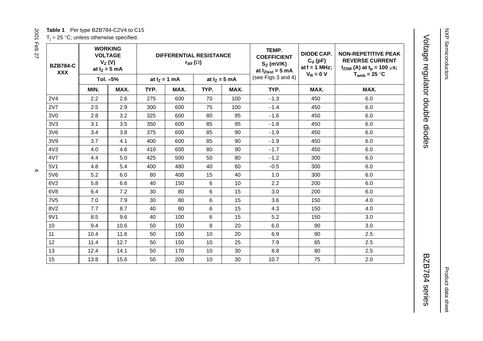# NXP Semiconductors NXP Semiconductors

# Product data sheet Product data sheet

# Voltage regulator double diodes BZB784 series BZB784 series

**Table 1** Per type BZB784-C2V4 to C15  $T_i = 25$  °C; unless otherwise specified.

| י<br>l<br>$\frac{1}{2}$<br>l<br>ļ<br>l<br>י<br>ľ<br>ì |  |  |  |  |
|-------------------------------------------------------|--|--|--|--|
|                                                       |  |  |  |  |
|                                                       |  |  |  |  |
| ı                                                     |  |  |  |  |
|                                                       |  |  |  |  |
|                                                       |  |  |  |  |
|                                                       |  |  |  |  |
|                                                       |  |  |  |  |

<span id="page-3-0"></span>

| <b>BZB784-C</b><br><b>XXX</b> |      | <b>WORKING</b><br><b>VOLTAGE</b><br><b>DIFFERENTIAL RESISTANCE</b><br>$V_Z(V)$<br>$r_{\text{dif}}(\Omega)$<br>at $I_Z = 5$ mA<br>Tol. $\approx 5\%$<br>at $I_z = 1$ mA<br>at $I_z = 5$ mA |      |      | TEMP.<br><b>COEFFICIENT</b><br>$S_Z$ (mV/K)<br>at $I_{Ztest} = 5$ mA | DIODE CAP.<br>$C_d$ (pF)<br>at $f = 1$ MHz;<br>$V_R = 0 V$ | <b>NON-REPETITIVE PEAK</b><br><b>REVERSE CURRENT</b><br>$I_{ZSM}$ (A) at $t_p = 100 \mu s$ ;<br>$T_{amb}$ = 25 °C |      |      |
|-------------------------------|------|-------------------------------------------------------------------------------------------------------------------------------------------------------------------------------------------|------|------|----------------------------------------------------------------------|------------------------------------------------------------|-------------------------------------------------------------------------------------------------------------------|------|------|
|                               |      |                                                                                                                                                                                           |      |      |                                                                      | (see Figs 3 and 4)                                         |                                                                                                                   |      |      |
|                               | MIN. | MAX.                                                                                                                                                                                      | TYP. | MAX. | TYP.                                                                 | MAX.                                                       | TYP.                                                                                                              | MAX. | MAX. |
| 2V <sub>4</sub>               | 2.2  | 2.6                                                                                                                                                                                       | 275  | 600  | 70                                                                   | 100                                                        | $-1.3$                                                                                                            | 450  | 6.0  |
| 2V7                           | 2.5  | 2.9                                                                                                                                                                                       | 300  | 600  | 75                                                                   | 100                                                        | $-1.4$                                                                                                            | 450  | 6.0  |
| 3V0                           | 2.8  | 3.2                                                                                                                                                                                       | 325  | 600  | 80                                                                   | 95                                                         | $-1.6$                                                                                                            | 450  | 6.0  |
| 3V3                           | 3.1  | 3.5                                                                                                                                                                                       | 350  | 600  | 85                                                                   | 95                                                         | $-1.8$                                                                                                            | 450  | 6.0  |
| 3V6                           | 3.4  | 3.8                                                                                                                                                                                       | 375  | 600  | 85                                                                   | 90                                                         | $-1.9$                                                                                                            | 450  | 6.0  |
| 3V9                           | 3.7  | 4.1                                                                                                                                                                                       | 400  | 600  | 85                                                                   | 90                                                         | $-1.9$                                                                                                            | 450  | 6.0  |
| 4V3                           | 4.0  | 4.6                                                                                                                                                                                       | 410  | 600  | 80                                                                   | 90                                                         | $-1.7$                                                                                                            | 450  | 6.0  |
| 4V7                           | 4.4  | 5.0                                                                                                                                                                                       | 425  | 500  | 50                                                                   | 80                                                         | $-1.2$                                                                                                            | 300  | 6.0  |
| 5V1                           | 4.8  | 5.4                                                                                                                                                                                       | 400  | 480  | 40                                                                   | 60                                                         | $-0.5$                                                                                                            | 300  | 6.0  |
| 5V6                           | 5.2  | 6.0                                                                                                                                                                                       | 80   | 400  | 15                                                                   | 40                                                         | 1.0                                                                                                               | 300  | 6.0  |
| 6V2                           | 5.8  | 6.6                                                                                                                                                                                       | 40   | 150  | 6                                                                    | 10                                                         | 2.2                                                                                                               | 200  | 6.0  |
| 6V8                           | 6.4  | 7.2                                                                                                                                                                                       | 30   | 80   | 6                                                                    | 15                                                         | 3.0                                                                                                               | 200  | 6.0  |
| 7V <sub>5</sub>               | 7.0  | 7.9                                                                                                                                                                                       | 30   | 80   | 6                                                                    | 15                                                         | 3.6                                                                                                               | 150  | 4.0  |
| 8V <sub>2</sub>               | 7.7  | 8.7                                                                                                                                                                                       | 40   | 80   | 6                                                                    | 15                                                         | 4.3                                                                                                               | 150  | 4.0  |
| 9V1                           | 8.5  | 9.6                                                                                                                                                                                       | 40   | 100  | 6                                                                    | 15                                                         | 5.2                                                                                                               | 150  | 3.0  |
| 10                            | 9.4  | 10.6                                                                                                                                                                                      | 50   | 150  | 8                                                                    | 20                                                         | 6.0                                                                                                               | 90   | 3.0  |
| 11                            | 10.4 | 11.6                                                                                                                                                                                      | 50   | 150  | 10                                                                   | 20                                                         | 6.9                                                                                                               | 90   | 2.5  |
| 12                            | 11.4 | 12.7                                                                                                                                                                                      | 50   | 150  | 10                                                                   | 25                                                         | 7.9                                                                                                               | 85   | 2.5  |
| 13                            | 12.4 | 14.1                                                                                                                                                                                      | 50   | 170  | 10                                                                   | 30                                                         | 8.8                                                                                                               | 80   | 2.5  |
| 15                            | 13.8 | 15.6                                                                                                                                                                                      | 50   | 200  | 10                                                                   | 30                                                         | 10.7                                                                                                              | 75   | 2.0  |

Voltage regulator double diodes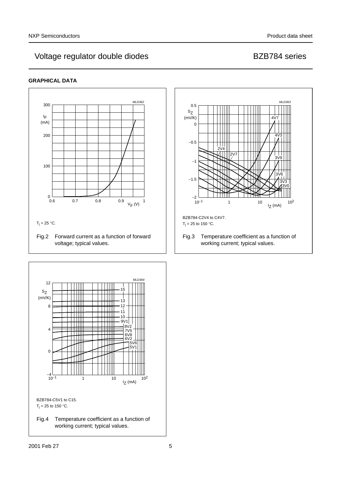# <span id="page-4-2"></span>Voltage regulator double diodes and all research in the BZB784 series

# **GRAPHICAL DATA**



<span id="page-4-1"></span><span id="page-4-0"></span>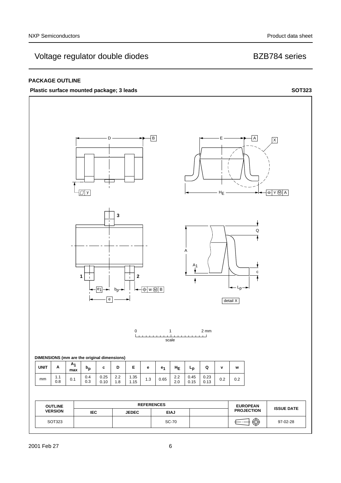# Voltage regulator double diodes and all research in the BZB784 series

## **PACKAGE OUTLINE**

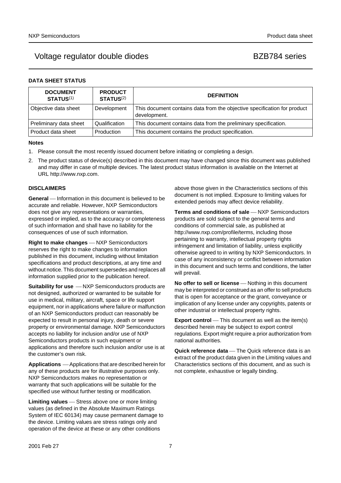# Voltage regulator double diodes by a series books back by BZB784 series

# **DATA SHEET STATUS**

| <b>DOCUMENT</b><br><b>STATUS(1)</b> | <b>PRODUCT</b><br><b>STATUS(2)</b> | <b>DEFINITION</b>                                                                        |
|-------------------------------------|------------------------------------|------------------------------------------------------------------------------------------|
| Objective data sheet                | Development                        | This document contains data from the objective specification for product<br>development. |
| Preliminary data sheet              | Qualification                      | This document contains data from the preliminary specification.                          |
| Product data sheet                  | Production                         | This document contains the product specification.                                        |

### **Notes**

- <span id="page-6-0"></span>1. Please consult the most recently issued document before initiating or completing a design.
- <span id="page-6-1"></span>2. The product status of device(s) described in this document may have changed since this document was published and may differ in case of multiple devices. The latest product status information is available on the Internet at URL http://www.nxp.com.

### **DISCLAIMERS**

**General** — Information in this document is believed to be accurate and reliable. However, NXP Semiconductors does not give any representations or warranties, expressed or implied, as to the accuracy or completeness of such information and shall have no liability for the consequences of use of such information.

**Right to make changes** – NXP Semiconductors reserves the right to make changes to information published in this document, including without limitation specifications and product descriptions, at any time and without notice. This document supersedes and replaces all information supplied prior to the publication hereof.

**Suitability for use**  $-MXP$  Semiconductors products are not designed, authorized or warranted to be suitable for use in medical, military, aircraft, space or life support equipment, nor in applications where failure or malfunction of an NXP Semiconductors product can reasonably be expected to result in personal injury, death or severe property or environmental damage. NXP Semiconductors accepts no liability for inclusion and/or use of NXP Semiconductors products in such equipment or applications and therefore such inclusion and/or use is at the customer's own risk.

**Applications** ⎯ Applications that are described herein for any of these products are for illustrative purposes only. NXP Semiconductors makes no representation or warranty that such applications will be suitable for the specified use without further testing or modification.

**Limiting values** – Stress above one or more limiting values (as defined in the Absolute Maximum Ratings System of IEC 60134) may cause permanent damage to the device. Limiting values are stress ratings only and operation of the device at these or any other conditions

above those given in the Characteristics sections of this document is not implied. Exposure to limiting values for extended periods may affect device reliability.

**Terms and conditions of sale** - NXP Semiconductors products are sold subject to the general terms and conditions of commercial sale, as published at http://www.nxp.com/profile/terms, including those pertaining to warranty, intellectual property rights infringement and limitation of liability, unless explicitly [otherwise agreed to in writing by NXP Semiconductors. In](http://www.nxp.com/profile/terms)  case of any inconsistency or conflict between information in this document and such terms and conditions, the latter will prevail.

**No offer to sell or license** - Nothing in this document may be interpreted or construed as an offer to sell products that is open for acceptance or the grant, conveyance or implication of any license under any copyrights, patents or other industrial or intellectual property rights.

**Export control** — This document as well as the item(s) described herein may be subject to export control regulations. Export might require a prior authorization from national authorities.

**Quick reference data** — The Quick reference data is an extract of the product data given in the Limiting values and Characteristics sections of this document, and as such is not complete, exhaustive or legally binding.